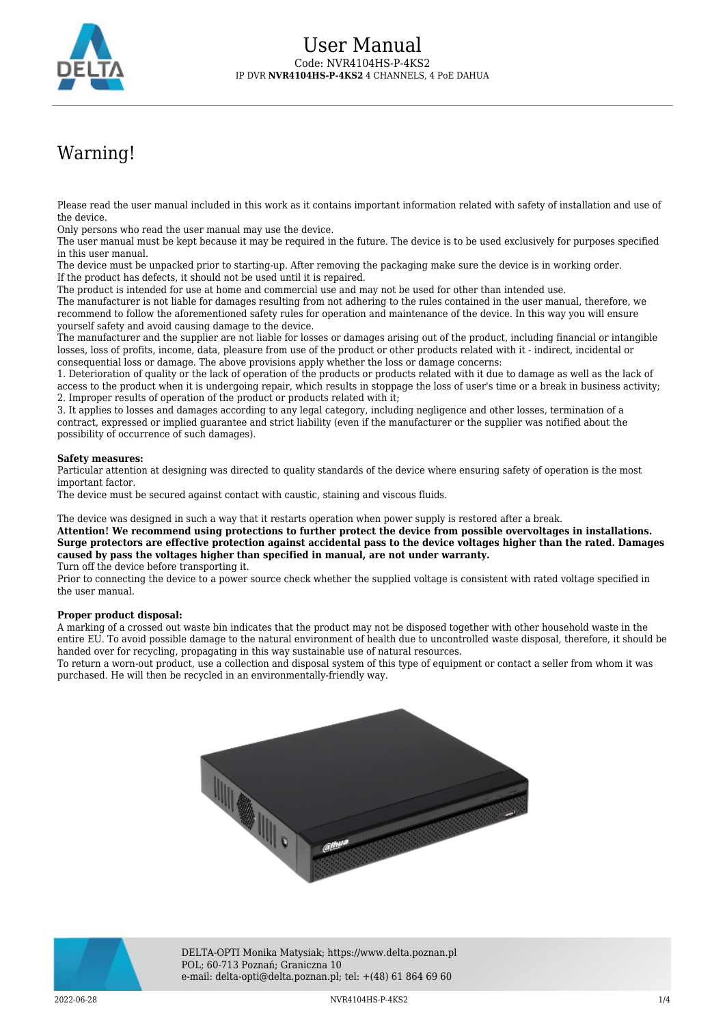

# Warning!

Please read the user manual included in this work as it contains important information related with safety of installation and use of the device.

Only persons who read the user manual may use the device.

The user manual must be kept because it may be required in the future. The device is to be used exclusively for purposes specified in this user manual.

The device must be unpacked prior to starting-up. After removing the packaging make sure the device is in working order. If the product has defects, it should not be used until it is repaired.

The product is intended for use at home and commercial use and may not be used for other than intended use.

The manufacturer is not liable for damages resulting from not adhering to the rules contained in the user manual, therefore, we recommend to follow the aforementioned safety rules for operation and maintenance of the device. In this way you will ensure yourself safety and avoid causing damage to the device.

The manufacturer and the supplier are not liable for losses or damages arising out of the product, including financial or intangible losses, loss of profits, income, data, pleasure from use of the product or other products related with it - indirect, incidental or consequential loss or damage. The above provisions apply whether the loss or damage concerns:

1. Deterioration of quality or the lack of operation of the products or products related with it due to damage as well as the lack of access to the product when it is undergoing repair, which results in stoppage the loss of user's time or a break in business activity; 2. Improper results of operation of the product or products related with it;

3. It applies to losses and damages according to any legal category, including negligence and other losses, termination of a contract, expressed or implied guarantee and strict liability (even if the manufacturer or the supplier was notified about the possibility of occurrence of such damages).

#### **Safety measures:**

Particular attention at designing was directed to quality standards of the device where ensuring safety of operation is the most important factor.

The device must be secured against contact with caustic, staining and viscous fluids.

The device was designed in such a way that it restarts operation when power supply is restored after a break.

**Attention! We recommend using protections to further protect the device from possible overvoltages in installations. Surge protectors are effective protection against accidental pass to the device voltages higher than the rated. Damages caused by pass the voltages higher than specified in manual, are not under warranty.**

Turn off the device before transporting it.

Prior to connecting the device to a power source check whether the supplied voltage is consistent with rated voltage specified in the user manual.

#### **Proper product disposal:**

A marking of a crossed out waste bin indicates that the product may not be disposed together with other household waste in the entire EU. To avoid possible damage to the natural environment of health due to uncontrolled waste disposal, therefore, it should be handed over for recycling, propagating in this way sustainable use of natural resources.

To return a worn-out product, use a collection and disposal system of this type of equipment or contact a seller from whom it was purchased. He will then be recycled in an environmentally-friendly way.





DELTA-OPTI Monika Matysiak; https://www.delta.poznan.pl POL; 60-713 Poznań; Graniczna 10 e-mail: delta-opti@delta.poznan.pl; tel: +(48) 61 864 69 60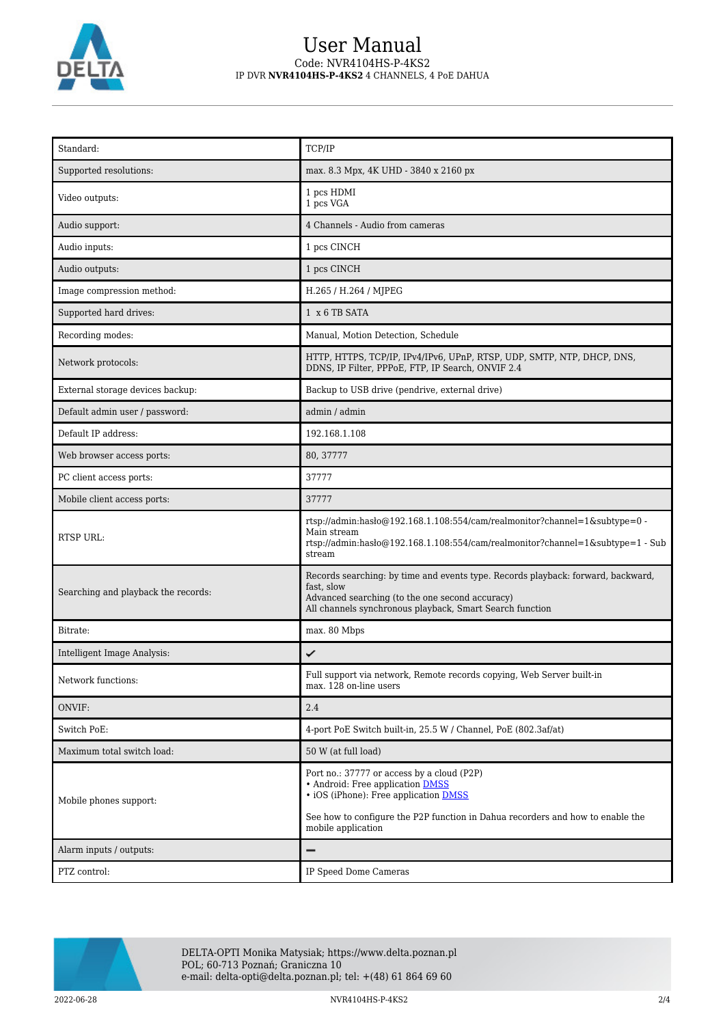

### User Manual Code: NVR4104HS-P-4KS2 IP DVR **NVR4104HS-P-4KS2** 4 CHANNELS, 4 PoE DAHUA

| Standard:                           | TCP/IP                                                                                                                                                                                                                                 |
|-------------------------------------|----------------------------------------------------------------------------------------------------------------------------------------------------------------------------------------------------------------------------------------|
| Supported resolutions:              | max. 8.3 Mpx, 4K UHD - 3840 x 2160 px                                                                                                                                                                                                  |
| Video outputs:                      | 1 pcs HDMI<br>1 pcs VGA                                                                                                                                                                                                                |
| Audio support:                      | 4 Channels - Audio from cameras                                                                                                                                                                                                        |
| Audio inputs:                       | 1 pcs CINCH                                                                                                                                                                                                                            |
| Audio outputs:                      | 1 pcs CINCH                                                                                                                                                                                                                            |
| Image compression method:           | H.265 / H.264 / MJPEG                                                                                                                                                                                                                  |
| Supported hard drives:              | 1 x 6 TB SATA                                                                                                                                                                                                                          |
| Recording modes:                    | Manual, Motion Detection, Schedule                                                                                                                                                                                                     |
| Network protocols:                  | HTTP, HTTPS, TCP/IP, IPv4/IPv6, UPnP, RTSP, UDP, SMTP, NTP, DHCP, DNS,<br>DDNS, IP Filter, PPPoE, FTP, IP Search, ONVIF 2.4                                                                                                            |
| External storage devices backup:    | Backup to USB drive (pendrive, external drive)                                                                                                                                                                                         |
| Default admin user / password:      | admin / admin                                                                                                                                                                                                                          |
| Default IP address:                 | 192.168.1.108                                                                                                                                                                                                                          |
| Web browser access ports:           | 80, 37777                                                                                                                                                                                                                              |
| PC client access ports:             | 37777                                                                                                                                                                                                                                  |
| Mobile client access ports:         | 37777                                                                                                                                                                                                                                  |
| RTSP URL:                           | rtsp://admin:hasło@192.168.1.108:554/cam/realmonitor?channel=1&subtype=0 -<br>Main stream<br>rtsp://admin:haslo $@192.168.1.108.554$ /cam/realmonitor?channel=1&subtype=1 - Sub<br>stream                                              |
| Searching and playback the records: | Records searching: by time and events type. Records playback: forward, backward,<br>fast, slow<br>Advanced searching (to the one second accuracy)<br>All channels synchronous playback, Smart Search function                          |
| Bitrate:                            | max. 80 Mbps                                                                                                                                                                                                                           |
| Intelligent Image Analysis:         | ✓                                                                                                                                                                                                                                      |
| Network functions:                  | Full support via network, Remote records copying, Web Server built-in<br>max. 128 on-line users                                                                                                                                        |
| ONVIF:                              | 2.4                                                                                                                                                                                                                                    |
| Switch PoE:                         | 4-port PoE Switch built-in, 25.5 W / Channel, PoE (802.3af/at)                                                                                                                                                                         |
| Maximum total switch load:          | 50 W (at full load)                                                                                                                                                                                                                    |
| Mobile phones support:              | Port no.: 37777 or access by a cloud (P2P)<br>• Android: Free application DMSS<br>• iOS (iPhone): Free application <b>DMSS</b><br>See how to configure the P2P function in Dahua recorders and how to enable the<br>mobile application |
| Alarm inputs / outputs:             | —                                                                                                                                                                                                                                      |
| PTZ control:                        | IP Speed Dome Cameras                                                                                                                                                                                                                  |

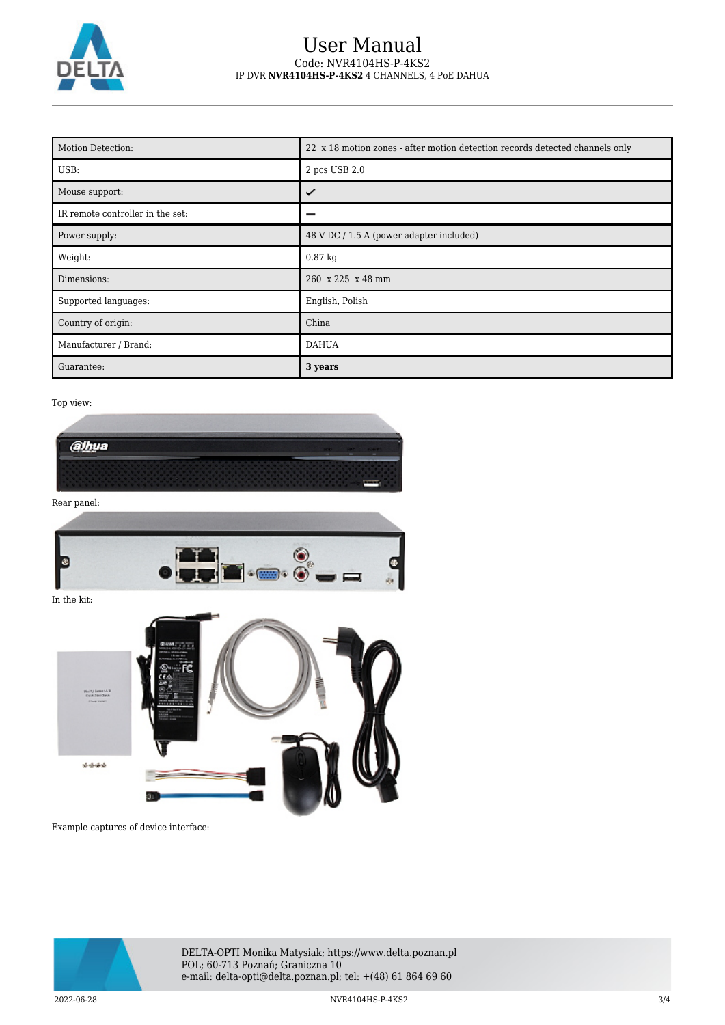

### User Manual Code: NVR4104HS-P-4KS2 IP DVR **NVR4104HS-P-4KS2** 4 CHANNELS, 4 PoE DAHUA

| Motion Detection:                | 22 x 18 motion zones - after motion detection records detected channels only |
|----------------------------------|------------------------------------------------------------------------------|
| USB:                             | 2 pcs USB 2.0                                                                |
| Mouse support:                   | ✓                                                                            |
| IR remote controller in the set: |                                                                              |
| Power supply:                    | 48 V DC / 1.5 A (power adapter included)                                     |
| Weight:                          | $0.87$ kg                                                                    |
| Dimensions:                      | 260 x 225 x 48 mm                                                            |
| Supported languages:             | English, Polish                                                              |
| Country of origin:               | China                                                                        |
| Manufacturer / Brand:            | <b>DAHUA</b>                                                                 |
| Guarantee:                       | 3 years                                                                      |

#### Top view:



Example captures of device interface:



DELTA-OPTI Monika Matysiak; https://www.delta.poznan.pl POL; 60-713 Poznań; Graniczna 10 e-mail: delta-opti@delta.poznan.pl; tel: +(48) 61 864 69 60

2022-06-28 NVR4104HS-P-4KS2 3/4